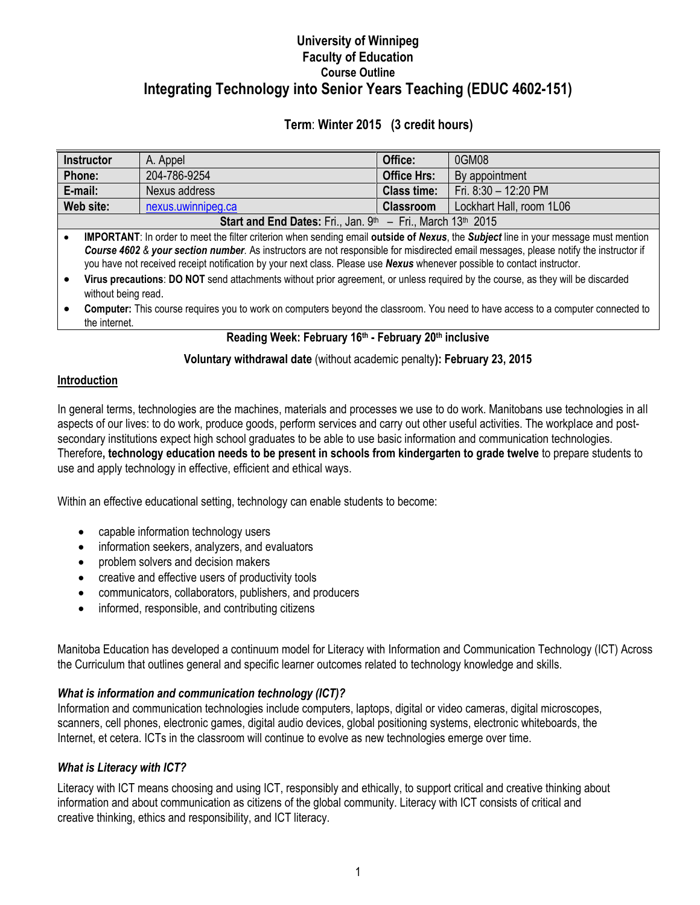# **University of Winnipeg Faculty of Education Course Outline Integrating Technology into Senior Years Teaching (EDUC 4602-151)**

# **Term**: **Winter 2015 (3 credit hours)**

| <b>Instructor</b>                                                                                                                                                                                                                                                 | A. Appel           | Office:            | 0GM08                    |  |  |  |
|-------------------------------------------------------------------------------------------------------------------------------------------------------------------------------------------------------------------------------------------------------------------|--------------------|--------------------|--------------------------|--|--|--|
| Phone:                                                                                                                                                                                                                                                            | 204-786-9254       | <b>Office Hrs:</b> | By appointment           |  |  |  |
| E-mail:                                                                                                                                                                                                                                                           | Nexus address      | <b>Class time:</b> | Fri. 8:30 - 12:20 PM     |  |  |  |
| Web site:                                                                                                                                                                                                                                                         | nexus.uwinnipeg.ca | <b>Classroom</b>   | Lockhart Hall, room 1L06 |  |  |  |
| <b>Start and End Dates:</b> Fri., Jan. $9th - Fri.$ , March 13 <sup>th</sup> 2015                                                                                                                                                                                 |                    |                    |                          |  |  |  |
| <b>IMPORTANT:</b> In order to meet the filter criterion when sending email outside of Nexus, the Subject line in your message must mention                                                                                                                        |                    |                    |                          |  |  |  |
| Course 4602 & your section number. As instructors are not responsible for misdirected email messages, please notify the instructor if<br>you have not received receipt notification by your next class. Please use Nexus whenever possible to contact instructor. |                    |                    |                          |  |  |  |
| Virus precautions: DO NOT send attachments without prior agreement, or unless required by the course, as they will be discarded<br>without being read.                                                                                                            |                    |                    |                          |  |  |  |
| Computer: This course requires you to work on computers beyond the classroom. You need to have access to a computer connected to<br>the internet.                                                                                                                 |                    |                    |                          |  |  |  |

## **Reading Week: February 16th - February 20th inclusive**

## **Voluntary withdrawal date** (without academic penalty**): February 23, 2015**

## **Introduction**

In general terms, technologies are the machines, materials and processes we use to do work. Manitobans use technologies in all aspects of our lives: to do work, produce goods, perform services and carry out other useful activities. The workplace and postsecondary institutions expect high school graduates to be able to use basic information and communication technologies. Therefore**, technology education needs to be present in schools from kindergarten to grade twelve** to prepare students to use and apply technology in effective, efficient and ethical ways.

Within an effective educational setting, technology can enable students to become:

- capable information technology users
- information seekers, analyzers, and evaluators
- problem solvers and decision makers
- creative and effective users of productivity tools
- communicators, collaborators, publishers, and producers
- informed, responsible, and contributing citizens

Manitoba Education has developed a continuum model for Literacy with [Information and Communication Technology \(ICT\) Across](http://ednet.edc.gov.ab.ca/ict/pofs.pdf)  [the Curriculum t](http://ednet.edc.gov.ab.ca/ict/pofs.pdf)hat outlines general and specific learner [outcomes](http://ednet.edc.gov.ab.ca/ict/pofs.asp) related to technology knowledge and skills.

## *What is information and communication technology (ICT)?*

[Information and communication technologies](http://www.emsb.qc.ca/recit/ICT-TIC.htm) include computers, laptops, digital or video cameras, digital microscopes, scanners, cell phones, electronic games, digital audio devices, global positioning systems, electronic whiteboards, the Internet, et cetera. ICTs in the classroom will continue to evolve as new technologies emerge over time.

## *What is Literacy with ICT?*

Literacy with ICT means choosing and using ICT, responsibly and ethically, to support critical and creative thinking about information and about communication as citizens of the global community. Literacy with ICT consists of critical and creative thinking, ethics and responsibility, and ICT literacy.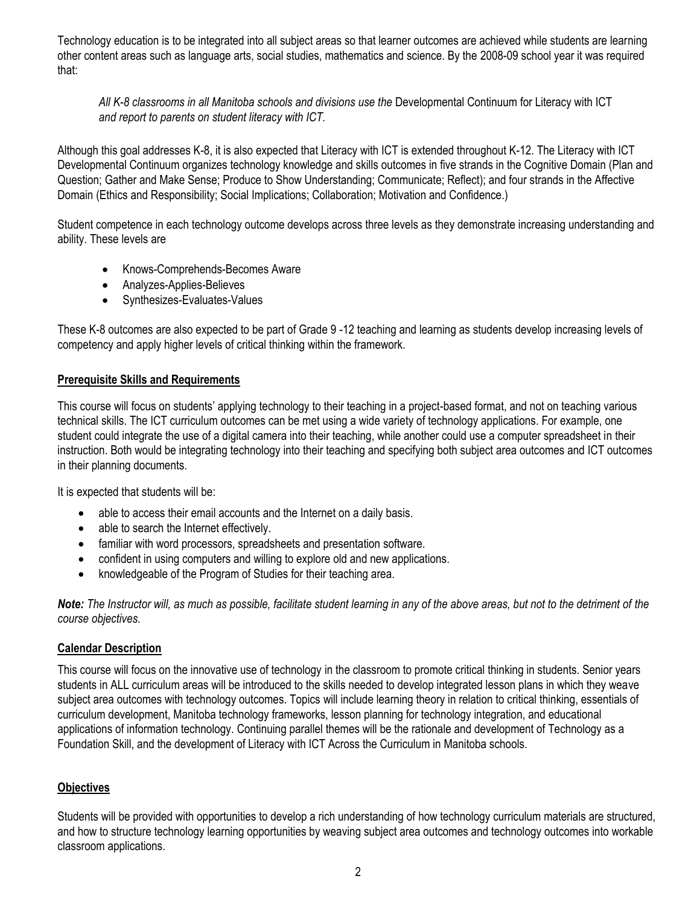Technology education is to be integrated into all subject areas so that learner outcomes are achieved while students are learning other content areas such as language arts, social studies, mathematics and science. By the 2008-09 school year it was required that:

*All K-8 classrooms in all Manitoba schools and divisions use the* Developmental Continuum for Literacy with ICT *and report to parents on student literacy with ICT.*

Although this goal addresses K-8, it is also expected that Literacy with ICT is extended throughout K-12. The Literacy with ICT Developmental Continuum organizes technology knowledge and skills outcomes in five strands in the Cognitive Domain (Plan and Question; Gather and Make Sense; Produce to Show Understanding; Communicate; Reflect); and four strands in the Affective Domain (Ethics and Responsibility; Social Implications; Collaboration; Motivation and Confidence.)

Student competence in each technology outcome develops across three levels as they demonstrate increasing understanding and ability. These levels are

- Knows-Comprehends-Becomes Aware
- Analyzes-Applies-Believes
- Synthesizes-Evaluates-Values

These K-8 outcomes are also expected to be part of Grade 9 -12 teaching and learning as students develop increasing levels of competency and apply higher levels of critical thinking within the framework.

#### **Prerequisite Skills and Requirements**

This course will focus on students' applying technology to their teaching in a project-based format, and not on teaching various technical skills. The ICT curriculum outcomes can be met using a wide variety of technology applications. For example, one student could integrate the use of a digital camera into their teaching, while another could use a computer spreadsheet in their instruction. Both would be integrating technology into their teaching and specifying both subject area outcomes and ICT outcomes in their planning documents.

It is expected that students will be:

- able to access their email accounts and the Internet on a daily basis.
- able to search the Internet effectively.
- familiar with word processors, spreadsheets and presentation software.
- confident in using computers and willing to explore old and new applications.
- knowledgeable of the Program of Studies for their teaching area.

*Note: The Instructor will, as much as possible, facilitate student learning in any of the above areas, but not to the detriment of the course objectives.* 

#### **Calendar Description**

This course will focus on the innovative use of technology in the classroom to promote critical thinking in students. Senior years students in ALL curriculum areas will be introduced to the skills needed to develop integrated lesson plans in which they weave subject area outcomes with technology outcomes. Topics will include learning theory in relation to critical thinking, essentials of curriculum development, Manitoba technology frameworks, lesson planning for technology integration, and educational applications of information technology. Continuing parallel themes will be the rationale and development of Technology as a Foundation Skill, and the development of Literacy with ICT Across the Curriculum in Manitoba schools.

## **Objectives**

Students will be provided with opportunities to develop a rich understanding of how technology curriculum materials are structured, and how to structure technology learning opportunities by weaving subject area outcomes and technology outcomes into workable classroom applications.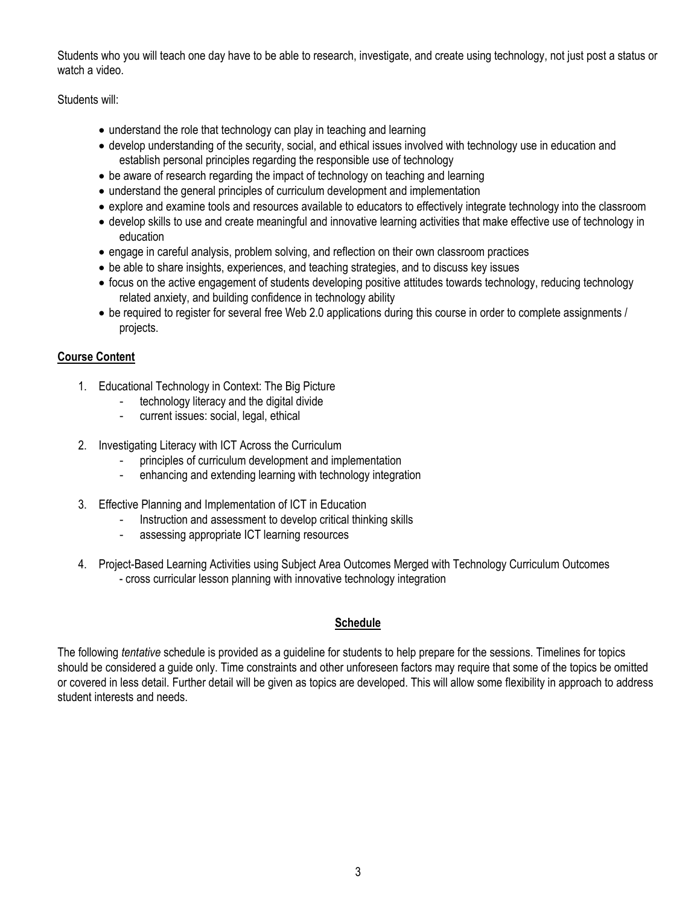Students who you will teach one day have to be able to research, investigate, and create using technology, not just post a status or watch a video.

Students will:

- understand the role that technology can play in teaching and learning
- develop understanding of the security, social, and ethical issues involved with technology use in education and establish personal principles regarding the responsible use of technology
- be aware of research regarding the impact of technology on teaching and learning
- understand the general principles of curriculum development and implementation
- explore and examine tools and resources available to educators to effectively integrate technology into the classroom
- develop skills to use and create meaningful and innovative learning activities that make effective use of technology in education
- engage in careful analysis, problem solving, and reflection on their own classroom practices
- be able to share insights, experiences, and teaching strategies, and to discuss key issues
- focus on the active engagement of students developing positive attitudes towards technology, reducing technology related anxiety, and building confidence in technology ability
- be required to register for several free Web 2.0 applications during this course in order to complete assignments / projects.

## **Course Content**

- 1. Educational Technology in Context: The Big Picture
	- technology literacy and the digital divide
	- current issues: social, legal, ethical
- 2. Investigating Literacy with ICT Across the Curriculum
	- principles of curriculum development and implementation
	- enhancing and extending learning with technology integration
- 3. Effective Planning and Implementation of ICT in Education
	- Instruction and assessment to develop critical thinking skills
	- assessing appropriate ICT learning resources
- 4. Project-Based Learning Activities using Subject Area Outcomes Merged with Technology Curriculum Outcomes - cross curricular lesson planning with innovative technology integration

## **Schedule**

The following *tentative* schedule is provided as a guideline for students to help prepare for the sessions. Timelines for topics should be considered a guide only. Time constraints and other unforeseen factors may require that some of the topics be omitted or covered in less detail. Further detail will be given as topics are developed. This will allow some flexibility in approach to address student interests and needs.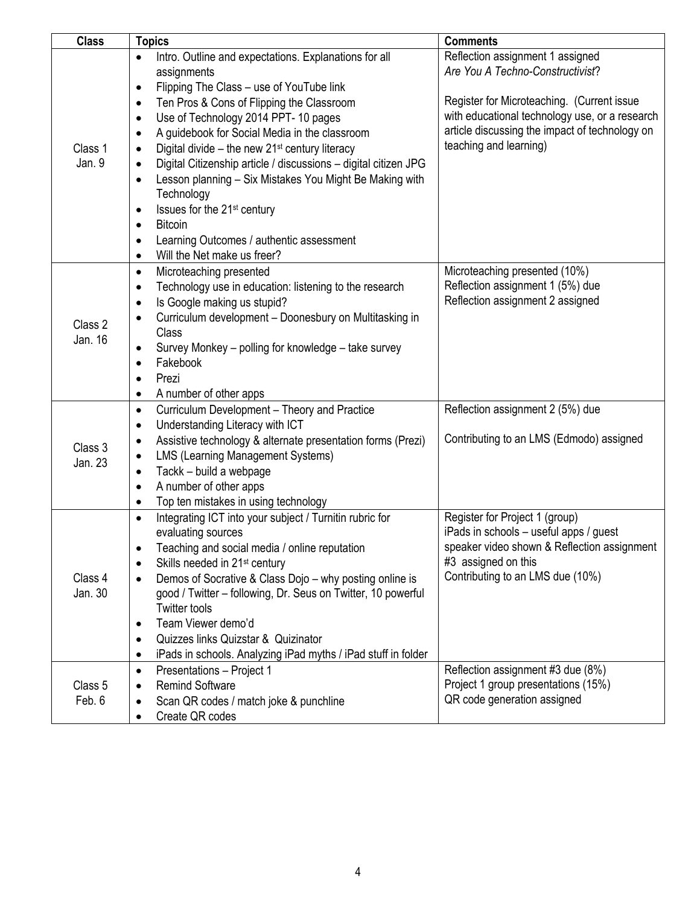| <b>Class</b> | <b>Topics</b>                                                                | <b>Comments</b>                                                    |
|--------------|------------------------------------------------------------------------------|--------------------------------------------------------------------|
|              | Intro. Outline and expectations. Explanations for all                        | Reflection assignment 1 assigned                                   |
|              | assignments                                                                  | Are You A Techno-Constructivist?                                   |
|              | Flipping The Class - use of YouTube link<br>$\bullet$                        |                                                                    |
|              | Ten Pros & Cons of Flipping the Classroom<br>$\bullet$                       | Register for Microteaching. (Current issue                         |
|              | Use of Technology 2014 PPT-10 pages<br>٠                                     | with educational technology use, or a research                     |
|              | A guidebook for Social Media in the classroom<br>$\bullet$                   | article discussing the impact of technology on                     |
| Class 1      | Digital divide $-$ the new 21 <sup>st</sup> century literacy<br>٠            | teaching and learning)                                             |
| Jan. 9       | Digital Citizenship article / discussions - digital citizen JPG<br>$\bullet$ |                                                                    |
|              | Lesson planning - Six Mistakes You Might Be Making with<br>$\bullet$         |                                                                    |
|              | Technology                                                                   |                                                                    |
|              | Issues for the 21 <sup>st</sup> century<br>٠                                 |                                                                    |
|              | <b>Bitcoin</b><br>٠                                                          |                                                                    |
|              | Learning Outcomes / authentic assessment                                     |                                                                    |
|              | Will the Net make us freer?<br>$\bullet$                                     |                                                                    |
|              | Microteaching presented<br>٠                                                 | Microteaching presented (10%)                                      |
|              | Technology use in education: listening to the research<br>$\bullet$          | Reflection assignment 1 (5%) due                                   |
|              | Is Google making us stupid?<br>$\bullet$                                     | Reflection assignment 2 assigned                                   |
| Class 2      | Curriculum development - Doonesbury on Multitasking in                       |                                                                    |
| Jan. 16      | Class                                                                        |                                                                    |
|              | Survey Monkey - polling for knowledge - take survey                          |                                                                    |
|              | Fakebook<br>$\bullet$                                                        |                                                                    |
|              | Prezi<br>٠                                                                   |                                                                    |
|              | A number of other apps<br>٠                                                  |                                                                    |
|              | Curriculum Development - Theory and Practice<br>$\bullet$                    | Reflection assignment 2 (5%) due                                   |
|              | Understanding Literacy with ICT<br>$\bullet$                                 |                                                                    |
| Class 3      | Assistive technology & alternate presentation forms (Prezi)<br>٠             | Contributing to an LMS (Edmodo) assigned                           |
| Jan. 23      | <b>LMS (Learning Management Systems)</b>                                     |                                                                    |
|              | Tackk - build a webpage<br>٠                                                 |                                                                    |
|              | A number of other apps<br>$\bullet$                                          |                                                                    |
|              | Top ten mistakes in using technology<br>٠                                    |                                                                    |
|              | Integrating ICT into your subject / Turnitin rubric for                      | Register for Project 1 (group)                                     |
|              | evaluating sources                                                           | iPads in schools - useful apps / guest                             |
|              | Teaching and social media / online reputation                                | speaker video shown & Reflection assignment                        |
|              | Skills needed in 21 <sup>st</sup> century<br>٠                               | #3 assigned on this                                                |
| Class 4      | Demos of Socrative & Class Dojo - why posting online is<br>$\bullet$         | Contributing to an LMS due (10%)                                   |
| Jan. 30      | good / Twitter – following, Dr. Seus on Twitter, 10 powerful                 |                                                                    |
|              | <b>Twitter tools</b>                                                         |                                                                    |
|              | Team Viewer demo'd<br>$\bullet$                                              |                                                                    |
|              | Quizzes links Quizstar & Quizinator<br>٠                                     |                                                                    |
|              | iPads in schools. Analyzing iPad myths / iPad stuff in folder<br>٠           |                                                                    |
|              | Presentations - Project 1<br>$\bullet$<br><b>Remind Software</b>             | Reflection assignment #3 due (8%)                                  |
| Class 5      |                                                                              | Project 1 group presentations (15%)<br>QR code generation assigned |
| Feb. 6       | Scan QR codes / match joke & punchline                                       |                                                                    |
|              | Create QR codes                                                              |                                                                    |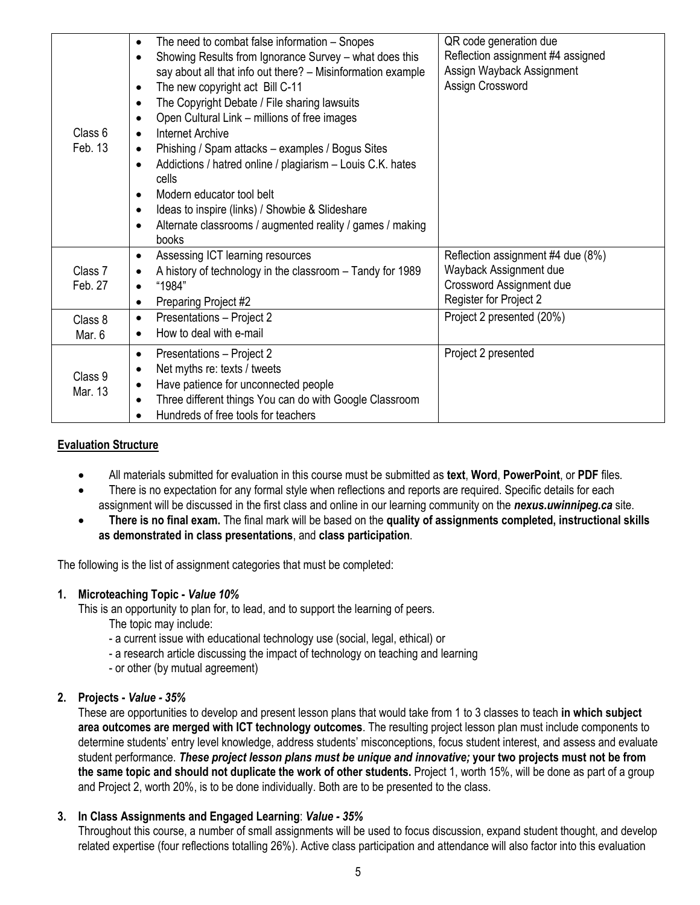| Class 6<br>Feb. 13 | The need to combat false information - Snopes<br>$\bullet$<br>Showing Results from Ignorance Survey - what does this<br>$\bullet$<br>say about all that info out there? - Misinformation example<br>The new copyright act Bill C-11<br>$\bullet$<br>The Copyright Debate / File sharing lawsuits<br>$\bullet$<br>Open Cultural Link - millions of free images<br>$\bullet$<br>Internet Archive<br>$\bullet$<br>Phishing / Spam attacks - examples / Bogus Sites<br>$\bullet$<br>Addictions / hatred online / plagiarism - Louis C.K. hates<br>$\bullet$<br>cells<br>Modern educator tool belt<br>$\bullet$<br>Ideas to inspire (links) / Showbie & Slideshare<br>$\bullet$<br>Alternate classrooms / augmented reality / games / making<br>$\bullet$<br>books | QR code generation due<br>Reflection assignment #4 assigned<br>Assign Wayback Assignment<br>Assign Crossword      |
|--------------------|---------------------------------------------------------------------------------------------------------------------------------------------------------------------------------------------------------------------------------------------------------------------------------------------------------------------------------------------------------------------------------------------------------------------------------------------------------------------------------------------------------------------------------------------------------------------------------------------------------------------------------------------------------------------------------------------------------------------------------------------------------------|-------------------------------------------------------------------------------------------------------------------|
| Class 7<br>Feb. 27 | Assessing ICT learning resources<br>$\bullet$<br>A history of technology in the classroom - Tandy for 1989<br>٠<br>"1984"<br>$\bullet$<br>Preparing Project #2<br>$\bullet$                                                                                                                                                                                                                                                                                                                                                                                                                                                                                                                                                                                   | Reflection assignment #4 due (8%)<br>Wayback Assignment due<br>Crossword Assignment due<br>Register for Project 2 |
| Class 8<br>Mar. 6  | Presentations - Project 2<br>$\bullet$<br>How to deal with e-mail<br>$\bullet$                                                                                                                                                                                                                                                                                                                                                                                                                                                                                                                                                                                                                                                                                | Project 2 presented (20%)                                                                                         |
| Class 9<br>Mar. 13 | Presentations - Project 2<br>$\bullet$<br>Net myths re: texts / tweets<br>$\bullet$<br>Have patience for unconnected people<br>٠<br>Three different things You can do with Google Classroom<br>$\bullet$<br>Hundreds of free tools for teachers                                                                                                                                                                                                                                                                                                                                                                                                                                                                                                               | Project 2 presented                                                                                               |

## **Evaluation Structure**

- All materials submitted for evaluation in this course must be submitted as **text**, **Word**, **PowerPoint**, or **PDF** files*.*
- There is no expectation for any formal style when reflections and reports are required. Specific details for each assignment will be discussed in the first class and online in our learning community on the *nexus.uwinnipeg.ca* site.
- **There is no final exam.** The final mark will be based on the **quality of assignments completed, instructional skills as demonstrated in class presentations**, and **class participation**.

The following is the list of assignment categories that must be completed:

## **1. Microteaching Topic -** *Value 10%*

This is an opportunity to plan for, to lead, and to support the learning of peers.

- The topic may include:
- a current issue with educational technology use (social, legal, ethical) or
- a research article discussing the impact of technology on teaching and learning
- or other (by mutual agreement)

## **2. Projects -** *Value - 35%*

These are opportunities to develop and present lesson plans that would take from 1 to 3 classes to teach **in which subject area outcomes are merged with ICT technology outcomes**. The resulting project lesson plan must include components to determine students' entry level knowledge, address students' misconceptions, focus student interest, and assess and evaluate student performance. *These project lesson plans must be unique and innovative;* **your two projects must not be from the same topic and should not duplicate the work of other students.** Project 1, worth 15%, will be done as part of a group and Project 2, worth 20%, is to be done individually. Both are to be presented to the class.

## **3. In Class Assignments and Engaged Learning**: *Value - 35%*

Throughout this course, a number of small assignments will be used to focus discussion, expand student thought, and develop related expertise (four reflections totalling 26%). Active class participation and attendance will also factor into this evaluation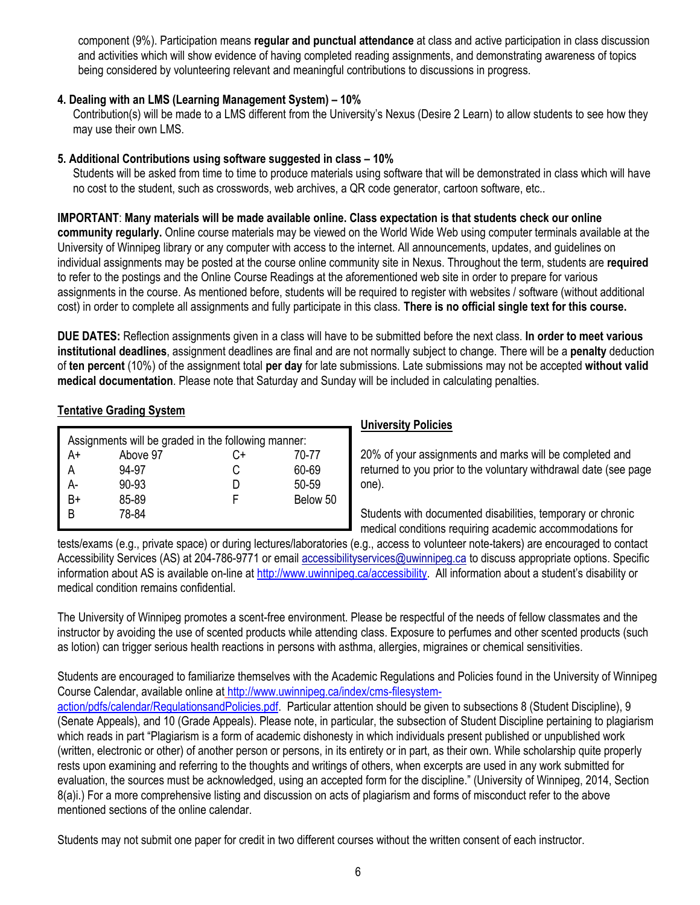component (9%). Participation means **regular and punctual attendance** at class and active participation in class discussion and activities which will show evidence of having completed reading assignments, and demonstrating awareness of topics being considered by volunteering relevant and meaningful contributions to discussions in progress.

## **4. Dealing with an LMS (Learning Management System) – 10%**

Contribution(s) will be made to a LMS different from the University's Nexus (Desire 2 Learn) to allow students to see how they may use their own LMS.

#### **5. Additional Contributions using software suggested in class – 10%**

Students will be asked from time to time to produce materials using software that will be demonstrated in class which will have no cost to the student, such as crosswords, web archives, a QR code generator, cartoon software, etc..

#### **IMPORTANT**: **Many materials will be made available online. Class expectation is that students check our online**

**community regularly.** Online course materials may be viewed on the World Wide Web using computer terminals available at the University of Winnipeg library or any computer with access to the internet. All announcements, updates, and guidelines on individual assignments may be posted at the course online community site in Nexus. Throughout the term, students are **required**  to refer to the postings and the Online Course Readings at the aforementioned web site in order to prepare for various assignments in the course. As mentioned before, students will be required to register with websites / software (without additional cost) in order to complete all assignments and fully participate in this class. **There is no official single text for this course.**

**DUE DATES:** Reflection assignments given in a class will have to be submitted before the next class. **In order to meet various institutional deadlines**, assignment deadlines are final and are not normally subject to change. There will be a **penalty** deduction of **ten percent** (10%) of the assignment total **per day** for late submissions. Late submissions may not be accepted **without valid medical documentation**. Please note that Saturday and Sunday will be included in calculating penalties.

## **Tentative Grading System**

| Assignments will be graded in the following manner: |           |    |          |  |  |  |
|-----------------------------------------------------|-----------|----|----------|--|--|--|
| A+                                                  | Above 97  | C+ | 70-77    |  |  |  |
| А                                                   | 94-97     | C  | 60-69    |  |  |  |
| А-                                                  | $90 - 93$ |    | 50-59    |  |  |  |
| B+                                                  | 85-89     |    | Below 50 |  |  |  |
| R                                                   | 78-84     |    |          |  |  |  |

#### **University Policies**

20% of your assignments and marks will be completed and returned to you prior to the voluntary withdrawal date (see page one).

Students with documented disabilities, temporary or chronic medical conditions requiring academic accommodations for

tests/exams (e.g., private space) or during lectures/laboratories (e.g., access to volunteer note-takers) are encouraged to contact Accessibility Services (AS) at 204-786-9771 or email [accessibilityservices@uwinnipeg.ca](mailto:accessibilityservices@uwinnipeg.ca) to discuss appropriate options. Specific information about AS is available on-line at<http://www.uwinnipeg.ca/accessibility>. All information about a student's disability or medical condition remains confidential.

The University of Winnipeg promotes a scent-free environment. Please be respectful of the needs of fellow classmates and the instructor by avoiding the use of scented products while attending class. Exposure to perfumes and other scented products (such as lotion) can trigger serious health reactions in persons with asthma, allergies, migraines or chemical sensitivities.

Students are encouraged to familiarize themselves with the Academic Regulations and Policies found in the University of Winnipeg Course Calendar, available online at [http://www.uwinnipeg.ca/index/cms-filesystem-](http://www.uwinnipeg.ca/index/cms-filesystem-action/pdfs/calendar/RegulationsandPolicies.pdf)

[action/pdfs/calendar/RegulationsandPolicies.pdf.](http://www.uwinnipeg.ca/index/cms-filesystem-action/pdfs/calendar/RegulationsandPolicies.pdf) Particular attention should be given to subsections 8 (Student Discipline), 9 (Senate Appeals), and 10 (Grade Appeals). Please note, in particular, the subsection of Student Discipline pertaining to plagiarism which reads in part "Plagiarism is a form of academic dishonesty in which individuals present published or unpublished work (written, electronic or other) of another person or persons, in its entirety or in part, as their own. While scholarship quite properly rests upon examining and referring to the thoughts and writings of others, when excerpts are used in any work submitted for evaluation, the sources must be acknowledged, using an accepted form for the discipline." (University of Winnipeg, 2014, Section 8(a)i.) For a more comprehensive listing and discussion on acts of plagiarism and forms of misconduct refer to the above mentioned sections of the online calendar.

Students may not submit one paper for credit in two different courses without the written consent of each instructor.